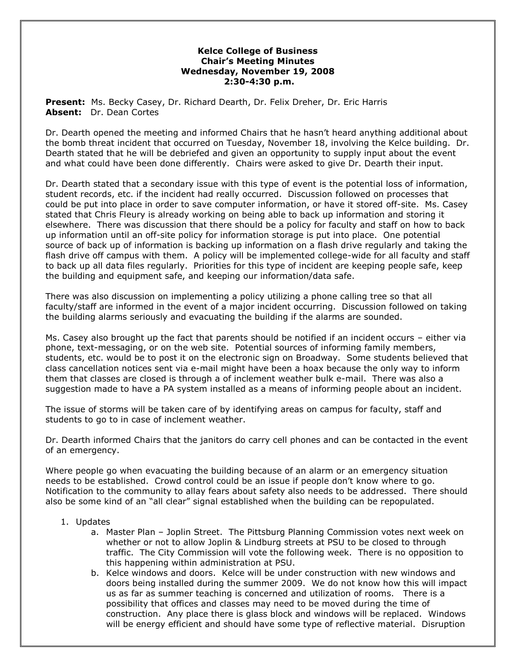## **Kelce College of Business Chair's Meeting Minutes Wednesday, November 19, 2008 2:30-4:30 p.m.**

**Present:** Ms. Becky Casey, Dr. Richard Dearth, Dr. Felix Dreher, Dr. Eric Harris **Absent:** Dr. Dean Cortes

Dr. Dearth opened the meeting and informed Chairs that he hasn't heard anything additional about the bomb threat incident that occurred on Tuesday, November 18, involving the Kelce building. Dr. Dearth stated that he will be debriefed and given an opportunity to supply input about the event and what could have been done differently. Chairs were asked to give Dr. Dearth their input.

Dr. Dearth stated that a secondary issue with this type of event is the potential loss of information, student records, etc. if the incident had really occurred. Discussion followed on processes that could be put into place in order to save computer information, or have it stored off-site. Ms. Casey stated that Chris Fleury is already working on being able to back up information and storing it elsewhere. There was discussion that there should be a policy for faculty and staff on how to back up information until an off-site policy for information storage is put into place. One potential source of back up of information is backing up information on a flash drive regularly and taking the flash drive off campus with them. A policy will be implemented college-wide for all faculty and staff to back up all data files regularly. Priorities for this type of incident are keeping people safe, keep the building and equipment safe, and keeping our information/data safe.

There was also discussion on implementing a policy utilizing a phone calling tree so that all faculty/staff are informed in the event of a major incident occurring. Discussion followed on taking the building alarms seriously and evacuating the building if the alarms are sounded.

Ms. Casey also brought up the fact that parents should be notified if an incident occurs – either via phone, text-messaging, or on the web site. Potential sources of informing family members, students, etc. would be to post it on the electronic sign on Broadway. Some students believed that class cancellation notices sent via e-mail might have been a hoax because the only way to inform them that classes are closed is through a of inclement weather bulk e-mail. There was also a suggestion made to have a PA system installed as a means of informing people about an incident.

The issue of storms will be taken care of by identifying areas on campus for faculty, staff and students to go to in case of inclement weather.

Dr. Dearth informed Chairs that the janitors do carry cell phones and can be contacted in the event of an emergency.

Where people go when evacuating the building because of an alarm or an emergency situation needs to be established. Crowd control could be an issue if people don't know where to go. Notification to the community to allay fears about safety also needs to be addressed. There should also be some kind of an "all clear" signal established when the building can be repopulated.

- 1. Updates
	- a. Master Plan Joplin Street. The Pittsburg Planning Commission votes next week on whether or not to allow Joplin & Lindburg streets at PSU to be closed to through traffic. The City Commission will vote the following week. There is no opposition to this happening within administration at PSU.
	- b. Kelce windows and doors. Kelce will be under construction with new windows and doors being installed during the summer 2009. We do not know how this will impact us as far as summer teaching is concerned and utilization of rooms. There is a possibility that offices and classes may need to be moved during the time of construction. Any place there is glass block and windows will be replaced. Windows will be energy efficient and should have some type of reflective material. Disruption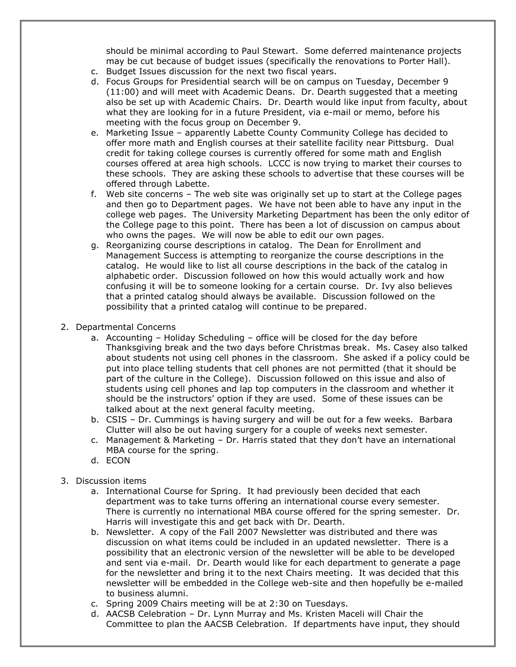should be minimal according to Paul Stewart. Some deferred maintenance projects may be cut because of budget issues (specifically the renovations to Porter Hall).

- c. Budget Issues discussion for the next two fiscal years.
- d. Focus Groups for Presidential search will be on campus on Tuesday, December 9 (11:00) and will meet with Academic Deans. Dr. Dearth suggested that a meeting also be set up with Academic Chairs. Dr. Dearth would like input from faculty, about what they are looking for in a future President, via e-mail or memo, before his meeting with the focus group on December 9.
- e. Marketing Issue apparently Labette County Community College has decided to offer more math and English courses at their satellite facility near Pittsburg. Dual credit for taking college courses is currently offered for some math and English courses offered at area high schools. LCCC is now trying to market their courses to these schools. They are asking these schools to advertise that these courses will be offered through Labette.
- f. Web site concerns The web site was originally set up to start at the College pages and then go to Department pages. We have not been able to have any input in the college web pages. The University Marketing Department has been the only editor of the College page to this point. There has been a lot of discussion on campus about who owns the pages. We will now be able to edit our own pages.
- g. Reorganizing course descriptions in catalog. The Dean for Enrollment and Management Success is attempting to reorganize the course descriptions in the catalog. He would like to list all course descriptions in the back of the catalog in alphabetic order. Discussion followed on how this would actually work and how confusing it will be to someone looking for a certain course. Dr. Ivy also believes that a printed catalog should always be available. Discussion followed on the possibility that a printed catalog will continue to be prepared.
- 2. Departmental Concerns
	- a. Accounting Holiday Scheduling office will be closed for the day before Thanksgiving break and the two days before Christmas break. Ms. Casey also talked about students not using cell phones in the classroom. She asked if a policy could be put into place telling students that cell phones are not permitted (that it should be part of the culture in the College). Discussion followed on this issue and also of students using cell phones and lap top computers in the classroom and whether it should be the instructors' option if they are used. Some of these issues can be talked about at the next general faculty meeting.
	- b. CSIS Dr. Cummings is having surgery and will be out for a few weeks. Barbara Clutter will also be out having surgery for a couple of weeks next semester.
	- c. Management & Marketing Dr. Harris stated that they don't have an international MBA course for the spring.
	- d. ECON
- 3. Discussion items
	- a. International Course for Spring. It had previously been decided that each department was to take turns offering an international course every semester. There is currently no international MBA course offered for the spring semester. Dr. Harris will investigate this and get back with Dr. Dearth.
	- b. Newsletter. A copy of the Fall 2007 Newsletter was distributed and there was discussion on what items could be included in an updated newsletter. There is a possibility that an electronic version of the newsletter will be able to be developed and sent via e-mail. Dr. Dearth would like for each department to generate a page for the newsletter and bring it to the next Chairs meeting. It was decided that this newsletter will be embedded in the College web-site and then hopefully be e-mailed to business alumni.
	- c. Spring 2009 Chairs meeting will be at 2:30 on Tuesdays.
	- d. AACSB Celebration Dr. Lynn Murray and Ms. Kristen Maceli will Chair the Committee to plan the AACSB Celebration. If departments have input, they should